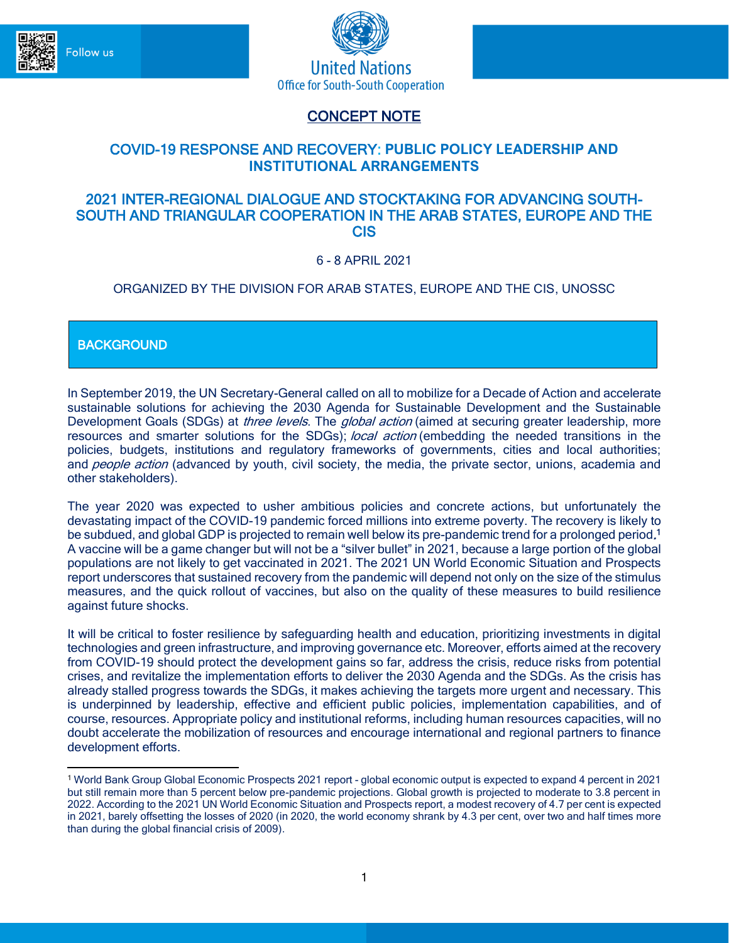



# CONCEPT NOTE

# COVID-19 RESPONSE AND RECOVERY: **PUBLIC POLICY LEADERSHIP AND INSTITUTIONAL ARRANGEMENTS**

### 2021 INTER-REGIONAL DIALOGUE AND STOCKTAKING FOR ADVANCING SOUTH-SOUTH AND TRIANGULAR COOPERATION IN THE ARAB STATES, EUROPE AND THE CIS

6 - 8 APRIL 2021

## ORGANIZED BY THE DIVISION FOR ARAB STATES, EUROPE AND THE CIS, UNOSSC

**BACKGROUND** 

In September 2019, the UN [Secretary-General](https://bit.ly/34TeYxJ) called on all to mobilize for a Decade of Action and accelerate sustainable solutions for achieving the 2030 Agenda for Sustainable Development and the Sustainable Development Goals (SDGs) at *three levels*. The *global action* (aimed at securing greater leadership, more resources and smarter solutions for the SDGs); *local action* (embedding the needed transitions in the policies, budgets, institutions and regulatory frameworks of governments, cities and local authorities; and people action (advanced by youth, civil society, the media, the private sector, unions, academia and other stakeholders).

The year 2020 was expected to usher ambitious policies and concrete actions, but unfortunately the devastating impact of the COVID-19 pandemic forced millions into extreme poverty. The recovery is likely to be subdued, and global GDP is projected to remain well below its pre-pandemic trend for a prolonged period.<sup>1</sup> A vaccine will be a game changer but will not be a "silver bullet" in 2021, because a large portion of the global populations are not likely to get vaccinated in 2021. The 2021 UN World Economic Situation and Prospects report underscores that sustained recovery from the pandemic will depend not only on the size of the stimulus measures, and the quick rollout of vaccines, but also on the quality of these measures to build resilience against future shocks.

It will be critical to foster resilience by safeguarding health and education, prioritizing investments in digital technologies and green infrastructure, and improving governance etc. Moreover, efforts aimed at the recovery from COVID-19 should protect the development gains so far, address the crisis, reduce risks from potential crises, and revitalize the implementation efforts to deliver the 2030 Agenda and the SDGs. As the crisis has already stalled progress towards the SDGs, it makes achieving the targets more urgent and necessary. This is underpinned by leadership, effective and efficient public policies, implementation capabilities, and of course, resources. Appropriate policy and institutional reforms, including human resources capacities, will no doubt accelerate the mobilization of resources and encourage international and regional partners to finance development efforts.

<sup>1</sup> World Bank Group Global Economic Prospects 2021 report - global economic output is expected to expand 4 percent in 2021 but still remain more than 5 percent below pre-pandemic projections. Global growth is projected to moderate to 3.8 percent in 2022. According to the 2021 UN World Economic Situation and Prospects report, a modest recovery of 4.7 per cent is expected in 2021, barely offsetting the losses of 2020 (in 2020, the world economy shrank by 4.3 per cent, over two and half times more than during the global financial crisis of 2009).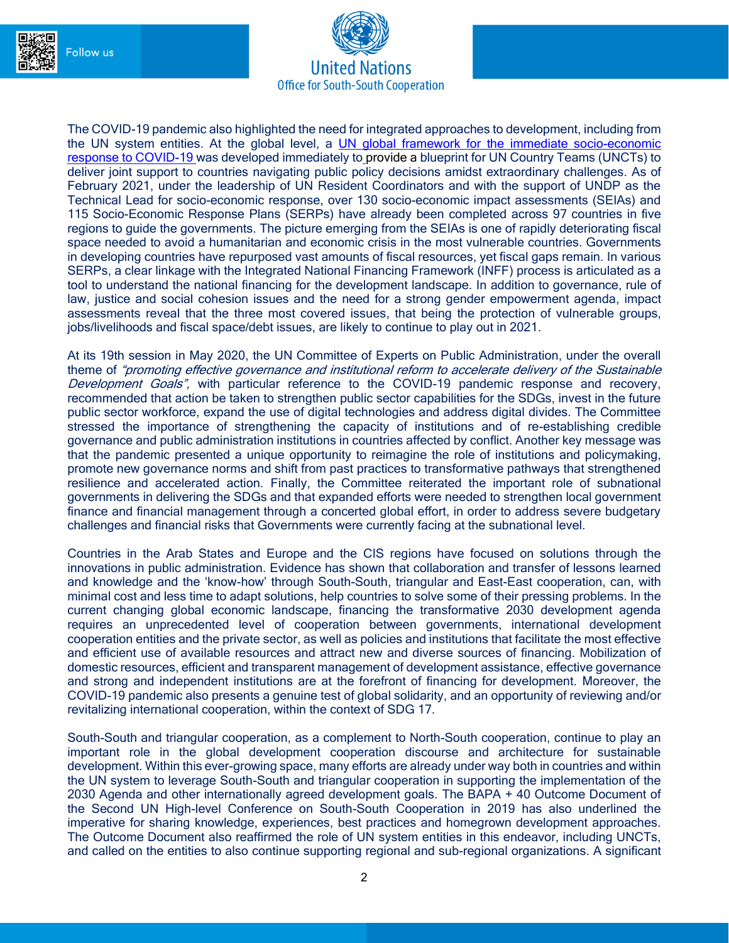



The COVID-19 pandemic also highlighted the need for integrated approaches to development, including from the UN system entities. At the global level, a UN global framework for the immediate socio-economic [response to COVID-19](https://eur03.safelinks.protection.outlook.com/?url=https%3A%2F%2Fwww.un.org%2Fsites%2Fun2.un.org%2Ffiles%2Fun_framework_report_on_covid-19.pdf&data=02%7C01%7Crenata.rubian%40undp.org%7Cbda70206b7e149a9847a08d83de5f3be%7Cb3e5db5e2944483799f57488ace54319%7C0%7C0%7C637327405136819225&sdata=8Xf3JS7gVbb2uNxMkN4UStG%2F0wUvTL6xZkDoExhyzQg%3D&reserved=0) was developed immediately to provide a blueprint for UN Country Teams (UNCTs) to deliver joint support to countries navigating public policy decisions amidst extraordinary challenges. As of February 2021, under the leadership of UN Resident Coordinators and with the support of UNDP as the Technical Lead for socio-economic response, over 130 socio-economic impact assessments (SEIAs) and 115 Socio-Economic Response Plans (SERPs) have already been completed across 97 countries in five regions to guide the governments. The picture emerging from the SEIAs is one of rapidly deteriorating fiscal space needed to avoid a humanitarian and economic crisis in the most vulnerable countries. Governments in developing countries have repurposed vast amounts of fiscal resources, yet fiscal gaps remain. In various SERPs, a clear linkage with the Integrated National Financing Framework (INFF) process is articulated as a tool to understand the national financing for the development landscape. In addition to governance, rule of law, justice and social cohesion issues and the need for a strong gender empowerment agenda, impact assessments reveal that the three most covered issues, that being the protection of vulnerable groups, jobs/livelihoods and fiscal space/debt issues, are likely to continue to play out in 2021.

At its 19th session in May 2020, the UN Committee of Experts on Public Administration, under the overall theme of "promoting effective governance and institutional reform to accelerate delivery of the Sustainable Development Goals", with particular reference to the COVID-19 pandemic response and recovery, recommended that action be taken to strengthen public sector capabilities for the SDGs, invest in the future public sector workforce, expand the use of digital technologies and address digital divides. The Committee stressed the importance of strengthening the capacity of institutions and of re-establishing credible governance and public administration institutions in countries affected by conflict. Another key message was that the pandemic presented a unique opportunity to reimagine the role of institutions and policymaking, promote new governance norms and shift from past practices to transformative pathways that strengthened resilience and accelerated action. Finally, the Committee reiterated the important role of subnational governments in delivering the SDGs and that expanded efforts were needed to strengthen local government finance and financial management through a concerted global effort, in order to address severe budgetary challenges and financial risks that Governments were currently facing at the subnational level.

Countries in the Arab States and Europe and the CIS regions have focused on solutions through the innovations in public administration. Evidence has shown that collaboration and transfer of lessons learned and knowledge and the 'know-how' through South-South, triangular and East-East cooperation, can, with minimal cost and less time to adapt solutions, help countries to solve some of their pressing problems. In the current changing global economic landscape, financing the transformative 2030 development agenda requires an unprecedented level of cooperation between governments, international development cooperation entities and the private sector, as well as policies and institutions that facilitate the most effective and efficient use of available resources and attract new and diverse sources of financing. Mobilization of domestic resources, efficient and transparent management of development assistance, effective governance and strong and independent institutions are at the forefront of financing for development. Moreover, the COVID-19 pandemic also presents a genuine test of global solidarity, and an opportunity of reviewing and/or revitalizing international cooperation, within the context of SDG 17.

South-South and triangular cooperation, as a complement to North-South cooperation, continue to play an important role in the global development cooperation discourse and architecture for sustainable development. Within this ever-growing space, many efforts are already under way both in countries and within the UN system to leverage South-South and triangular cooperation in supporting the implementation of the 2030 Agenda and other internationally agreed development goals. The BAPA + 40 Outcome Document of the Second UN High-level Conference on South-South Cooperation in 2019 has also underlined the imperative for sharing knowledge, experiences, best practices and homegrown development approaches. The Outcome Document also reaffirmed the role of UN system entities in this endeavor, including UNCTs, and called on the entities to also continue supporting regional and sub-regional organizations. A significant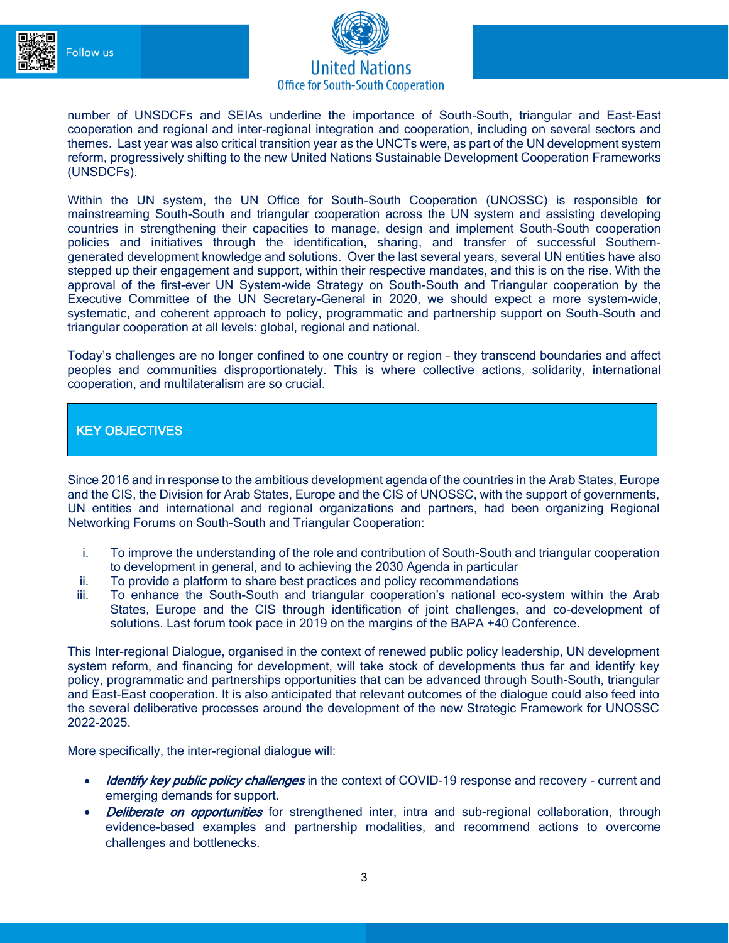



number of UNSDCFs and SEIAs underline the importance of South-South, triangular and East-East cooperation and regional and inter-regional integration and cooperation, including on several sectors and themes. Last year was also critical transition year as the UNCTs were, as part of the UN development system reform, progressively shifting to the new United Nations Sustainable Development Cooperation Frameworks (UNSDCFs).

Within the UN system, the UN Office for South-South Cooperation (UNOSSC) is responsible for mainstreaming South-South and triangular cooperation across the UN system and assisting developing countries in strengthening their capacities to manage, design and implement South-South cooperation policies and initiatives through the identification, sharing, and transfer of successful Southerngenerated development knowledge and solutions. Over the last several years, several UN entities have also stepped up their engagement and support, within their respective mandates, and this is on the rise. With the approval of the first-ever UN System-wide Strategy on South-South and Triangular cooperation by the Executive Committee of the UN Secretary-General in 2020, we should expect a more system-wide, systematic, and coherent approach to policy, programmatic and partnership support on South-South and triangular cooperation at all levels: global, regional and national.

Today's challenges are no longer confined to one country or region – they transcend boundaries and affect peoples and communities disproportionately. This is where collective actions, solidarity, international cooperation, and multilateralism are so crucial.

### KEY OBJECTIVES

Since 2016 and in response to the ambitious development agenda of the countries in the Arab States, Europe and the CIS, the Division for Arab States, Europe and the CIS of UNOSSC, with the support of governments, UN entities and international and regional organizations and partners, had been organizing Regional Networking Forums on South-South and Triangular Cooperation:

- i. To improve the understanding of the role and contribution of South-South and triangular cooperation to development in general, and to achieving the 2030 Agenda in particular
- ii. To provide a platform to share best practices and policy recommendations
- iii. To enhance the South-South and triangular cooperation's national eco-system within the Arab States, Europe and the CIS through identification of joint challenges, and co-development of solutions. Last forum took pace in 2019 on the margins of the BAPA +40 Conference.

This Inter-regional Dialogue, organised in the context of renewed public policy leadership, UN development system reform, and financing for development, will take stock of developments thus far and identify key policy, programmatic and partnerships opportunities that can be advanced through South-South, triangular and East-East cooperation. It is also anticipated that relevant outcomes of the dialogue could also feed into the several deliberative processes around the development of the new Strategic Framework for UNOSSC 2022-2025.

More specifically, the inter-regional dialogue will:

- Identify key public policy challenges in the context of COVID-19 response and recovery current and emerging demands for support.
- **Deliberate on opportunities** for strengthened inter, intra and sub-regional collaboration, through evidence-based examples and partnership modalities, and recommend actions to overcome challenges and bottlenecks.